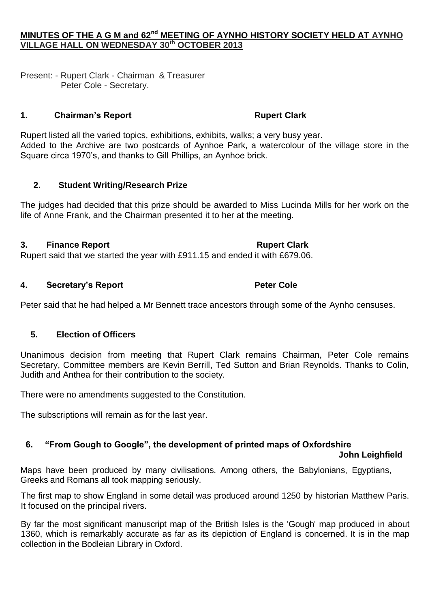## **MINUTES OF THE A G M and 62nd MEETING OF AYNHO HISTORY SOCIETY HELD AT AYNHO VILLAGE HALL ON WEDNESDAY 30th OCTOBER 2013**

Present: - Rupert Clark - Chairman & Treasurer Peter Cole - Secretary.

#### **1. Chairman's Report Rupert Clark**

Rupert listed all the varied topics, exhibitions, exhibits, walks; a very busy year. Added to the Archive are two postcards of Aynhoe Park, a watercolour of the village store in the Square circa 1970's, and thanks to Gill Phillips, an Aynhoe brick.

## **2. Student Writing/Research Prize**

The judges had decided that this prize should be awarded to Miss Lucinda Mills for her work on the life of Anne Frank, and the Chairman presented it to her at the meeting.

## **3. Finance Report Rupert Clark**

Rupert said that we started the year with £911.15 and ended it with £679.06.

## **4. Secretary's Report Peter Cole**

Peter said that he had helped a Mr Bennett trace ancestors through some of the Aynho censuses.

## **5. Election of Officers**

Unanimous decision from meeting that Rupert Clark remains Chairman, Peter Cole remains Secretary, Committee members are Kevin Berrill, Ted Sutton and Brian Reynolds. Thanks to Colin, Judith and Anthea for their contribution to the society.

There were no amendments suggested to the Constitution.

The subscriptions will remain as for the last year.

# **6. "From Gough to Google", the development of printed maps of Oxfordshire**

#### **John Leighfield**

Maps have been produced by many civilisations. Among others, the Babylonians, Egyptians, Greeks and Romans all took mapping seriously.

The first map to show England in some detail was produced around 1250 by historian Matthew Paris. It focused on the principal rivers.

By far the most significant manuscript map of the British Isles is the 'Gough' map produced in about 1360, which is remarkably accurate as far as its depiction of England is concerned. It is in the map collection in the Bodleian Library in Oxford.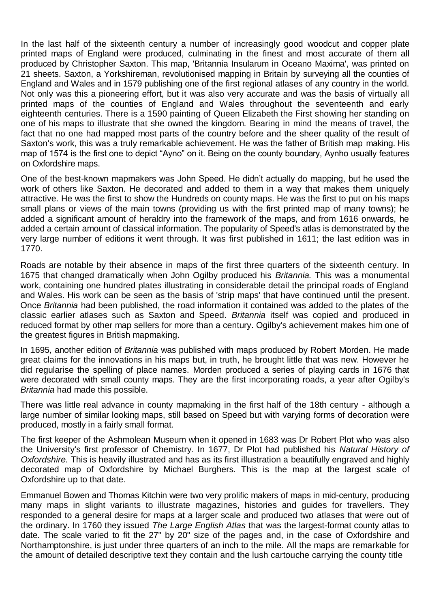In the last half of the sixteenth century a number of increasingly good woodcut and copper plate printed maps of England were produced, culminating in the finest and most accurate of them all produced by Christopher Saxton. This map, 'Britannia Insularum in Oceano Maxima', was printed on 21 sheets. Saxton, a Yorkshireman, revolutionised mapping in Britain by surveying all the counties of England and Wales and in 1579 publishing one of the first regional atlases of any country in the world. Not only was this a pioneering effort, but it was also very accurate and was the basis of virtually all printed maps of the counties of England and Wales throughout the seventeenth and early eighteenth centuries. There is a 1590 painting of Queen Elizabeth the First showing her standing on one of his maps to illustrate that she owned the kingdom. Bearing in mind the means of travel, the fact that no one had mapped most parts of the country before and the sheer quality of the result of Saxton's work, this was a truly remarkable achievement. He was the father of British map making. His map of 1574 is the first one to depict "Ayno" on it. Being on the county boundary, Aynho usually features on Oxfordshire maps.

One of the best-known mapmakers was John Speed. He didn't actually do mapping, but he used the work of others like Saxton. He decorated and added to them in a way that makes them uniquely attractive. He was the first to show the Hundreds on county maps. He was the first to put on his maps small plans or views of the main towns (providing us with the first printed map of many towns); he added a significant amount of heraldry into the framework of the maps, and from 1616 onwards, he added a certain amount of classical information. The popularity of Speed's atlas is demonstrated by the very large number of editions it went through. It was first published in 1611; the last edition was in 1770.

Roads are notable by their absence in maps of the first three quarters of the sixteenth century. In 1675 that changed dramatically when John Ogilby produced his *Britannia.* This was a monumental work, containing one hundred plates illustrating in considerable detail the principal roads of England and Wales. His work can be seen as the basis of 'strip maps' that have continued until the present. Once *Britannia* had been published, the road information it contained was added to the plates of the classic earlier atlases such as Saxton and Speed. *Britannia* itself was copied and produced in reduced format by other map sellers for more than a century. Ogilby's achievement makes him one of the greatest figures in British mapmaking.

In 1695, another edition of *Britannia* was published with maps produced by Robert Morden. He made great claims for the innovations in his maps but, in truth, he brought little that was new. However he did regularise the spelling of place names. Morden produced a series of playing cards in 1676 that were decorated with small county maps. They are the first incorporating roads, a year after Ogilby's *Britannia* had made this possible.

There was little real advance in county mapmaking in the first half of the 18th century - although a large number of similar looking maps, still based on Speed but with varying forms of decoration were produced, mostly in a fairly small format.

The first keeper of the Ashmolean Museum when it opened in 1683 was Dr Robert Plot who was also the University's first professor of Chemistry. In 1677, Dr Plot had published his *Natural History of Oxfordshire.* This is heavily illustrated and has as its first illustration a beautifully engraved and highly decorated map of Oxfordshire by Michael Burghers. This is the map at the largest scale of Oxfordshire up to that date.

Emmanuel Bowen and Thomas Kitchin were two very prolific makers of maps in mid-century, producing many maps in slight variants to illustrate magazines, histories and guides for travellers. They responded to a general desire for maps at a larger scale and produced two atlases that were out of the ordinary. In 1760 they issued *The Large English Atlas* that was the largest-format county atlas to date. The scale varied to fit the 27" by 20" size of the pages and, in the case of Oxfordshire and Northamptonshire, is just under three quarters of an inch to the mile. All the maps are remarkable for the amount of detailed descriptive text they contain and the lush cartouche carrying the county title